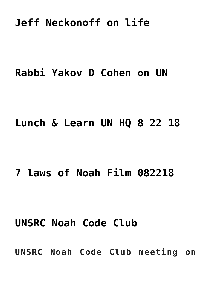## **[Jeff Neckonoff on life](http://noahide.org/jeff-neckonoff-on-life/)**

### **[Rabbi Yakov D Cohen on UN](http://noahide.org/rabbi-yakov-d-cohen-on-un/)**

#### **[Lunch & Learn UN HQ 8 22 18](http://noahide.org/lunch-learn-un-hq-8-22-18/)**

### **[7 laws of Noah Film 082218](http://noahide.org/7-laws-of-noah-film-082218/)**

## **[UNSRC Noah Code Club](http://noahide.org/unsrc-noah-code-club/)**

**UNSRC Noah Code Club meeting on**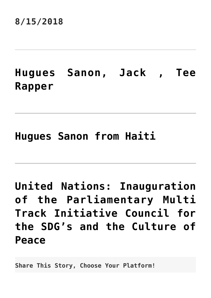#### **8/15/2018**

## **[Hugues Sanon, Jack , Tee](http://noahide.org/hugues-sanon-jack-tee-rapper/) [Rapper](http://noahide.org/hugues-sanon-jack-tee-rapper/)**

### **[Hugues Sanon from Haiti](http://noahide.org/hugues-sanon-from-haiti/)**

**[United Nations: Inauguration](http://noahide.org/united-nations-inauguration-of-the-parliamentary-multi-track-initiative-council-for-the-sdgs-and-the-culture-of-peace/) [of the Parliamentary Multi](http://noahide.org/united-nations-inauguration-of-the-parliamentary-multi-track-initiative-council-for-the-sdgs-and-the-culture-of-peace/) [Track Initiative Council for](http://noahide.org/united-nations-inauguration-of-the-parliamentary-multi-track-initiative-council-for-the-sdgs-and-the-culture-of-peace/) [the SDG's and the Culture of](http://noahide.org/united-nations-inauguration-of-the-parliamentary-multi-track-initiative-council-for-the-sdgs-and-the-culture-of-peace/) [Peace](http://noahide.org/united-nations-inauguration-of-the-parliamentary-multi-track-initiative-council-for-the-sdgs-and-the-culture-of-peace/)**

**Share This Story, Choose Your Platform!**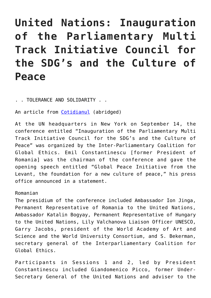# **United Nations: Inauguration of the Parliamentary Multi Track Initiative Council for the SDG's and the Culture of Peace**

. . TOLERANCE AND SOLIDARITY . .

An article from [Cotidianul](https://www.cotidianul.ro/emil-constantinescu-la-sediul-onu/) (abridged)

At the UN headquarters in New York on September 14, the conference entitled "Inauguration of the Parliamentary Multi Track Initiative Council for the SDG's and the Culture of Peace" was organized by the Inter-Parliamentary Coalition for Global Ethics. Emil Constantinescu [former President of Romania] was the chairman of the conference and gave the opening speech entitled "Global Peace Initiative from the Levant, the foundation for a new culture of peace," his press office announced in a statement.

#### Romanian

The presidium of the conference included Ambassador Ion Jinga, Permanent Representative of Romania to the United Nations, Ambassador Katalin Bogyay, Permanent Representative of Hungary to the United Nations, Lily Valchanova Liaison Officer UNESCO, Garry Jacobs, president of the World Academy of Art and Science and the World University Consortium, and S. Bekerman, secretary general of the Interparliamentary Coalition for Global Ethics.

Participants in Sessions 1 and 2, led by President Constantinescu included Giandomenico Picco, former Under-Secretary General of the United Nations and adviser to the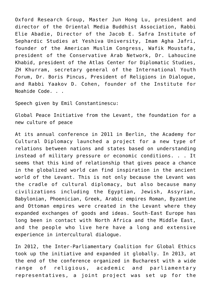Oxford Research Group, Master Jun Hong Lu, president and director of the Oriental Media Buddhist Association, Rabbi Elie Abadie, Director of the Jacob E. Safra Institute of Sephardic Studies at Yeshiva University, Imam Agha Jafri, founder of the American Muslim Congress, Wafik Moustafa, president of the Conservative Arab Network, Dr. Lahoucine Khabid, president of the Atlas Center for Diplomatic Studies, ZH Khurram, secretary general of the International Youth Forum, Dr. Boris Pincus, President of Religions in Dialogue, and Rabbi Yaakov D. Cohen, founder of the Institute for Noahide Code. . .

Speech given by Emil Constantinescu:

Global Peace Initiative from the Levant, the foundation for a new culture of peace

At its annual conference in 2011 in Berlin, the Academy for Cultural Diplomacy launched a project for a new type of relations between nations and states based on understanding instead of military pressure or economic conditions. . . It seems that this kind of relationship that gives peace a chance in the globalized world can find inspiration in the ancient world of the Levant. This is not only because the Levant was the cradle of cultural diplomacy, but also because many civilizations including the Egyptian, Jewish, Assyrian, Babylonian, Phoenician, Greek, Arabic empires Roman, Byzantine and Ottoman empires were created in the Levant where they expanded exchanges of goods and ideas. South-East Europe has long been in contact with North Africa and the Middle East, and the people who live here have a long and extensive experience in intercultural dialogue.

In 2012, the Inter-Parliamentary Coalition for Global Ethics took up the initiative and expanded it globally. In 2013, at the end of the conference organized in Bucharest with a wide range of religious, academic and parliamentary representatives, a joint project was set up for the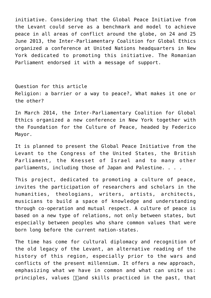initiative. Considering that the Global Peace Initiative from the Levant could serve as a benchmark and model to achieve peace in all areas of conflict around the globe, on 24 and 25 June 2013, the Inter-Parliamentary Coalition for Global Ethics organized a conference at United Nations headquarters in New York dedicated to promoting this initiative. The Romanian Parliament endorsed it with a message of support.

Question for this article Religion: a barrier or a way to peace?, What makes it one or the other?

In March 2014, the Inter-Parliamentary Coalition for Global Ethics organized a new conference in New York together with the Foundation for the Culture of Peace, headed by Federico Mayor.

It is planned to present the Global Peace Initiative from the Levant to the Congress of the United States, the British Parliament, the Knesset of Israel and to many other parliaments, including those of Japan and Palestine. . . .

This project, dedicated to promoting a culture of peace, invites the participation of researchers and scholars in the humanities, theologians, writers, artists, architects, musicians to build a space of knowledge and understanding through co-operation and mutual respect. A culture of peace is based on a new type of relations, not only between states, but especially between peoples who share common values that were born long before the current nation-states.

The time has come for cultural diplomacy and recognition of the old legacy of the Levant, an alternative reading of the history of this region, especially prior to the wars and conflicts of the present millennium. It offers a new approach, emphasizing what we have in common and what can unite us: principles, values  $\Box$ and skills practiced in the past, that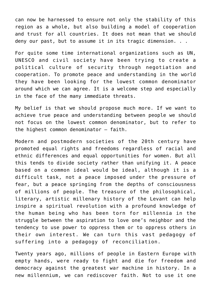can now be harnessed to ensure not only the stability of this region as a whole, but also building a model of cooperation and trust for all countries. It does not mean that we should deny our past, but to assume it in its tragic dimension. . .

For quite some time international organizations such as UN, UNESCO and civil society have been trying to create a political culture of security through negotiation and cooperation. To promote peace and understanding in the world they have been looking for the lowest common denominator around which we can agree. It is a welcome step and especially in the face of the many immediate threats.

My belief is that we should propose much more. If we want to achieve true peace and understanding between people we should not focus on the lowest common denominator, but to refer to the highest common denominator – faith.

Modern and postmodern societies of the 20th century have promoted equal rights and freedoms regardless of racial and ethnic differences and equal opportunities for women. But all this tends to divide society rather than unifying it. A peace based on a common ideal would be ideal, although it is a difficult task, not a peace imposed under the pressure of fear, but a peace springing from the depths of consciousness of millions of people. The treasure of the philosophical, literary, artistic millenary history of the Levant can help inspire a spiritual revolution with a profound knowledge of the human being who has been torn for millennia in the struggle between the aspiration to love one's neighbor and the tendency to use power to oppress them or to oppress others in their own interest. We can turn this vast pedagogy of suffering into a pedagogy of reconciliation.

Twenty years ago, millions of people in Eastern Europe with empty hands, were ready to fight and die for freedom and democracy against the greatest war machine in history. In a new millennium, we can rediscover faith. Not to use it one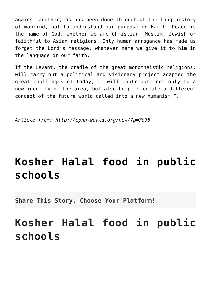against another, as has been done throughout the long history of mankind, but to understand our purpose on Earth. Peace is the name of God, whether we are Christian, Muslim, Jewish or faiithful to Asian religions. Only human arrogance has made us forget the Lord's message, whatever name we give it to him in the language or our faith.

If the Levant, the cradle of the great monotheistic religions, will carry out a political and visionary project adapted the great challenges of today, it will contribute not only to a new identity of the area, but also hdlp to create a different concept of the future world called into a new humanism.".

*Article from: http://cpnn-world.org/new/?p=7035*

## **[Kosher Halal food in public](http://noahide.org/kosher-halal-food-in-public-schools/) [schools](http://noahide.org/kosher-halal-food-in-public-schools/)**

**Share This Story, Choose Your Platform!**

# **Kosher Halal food in public schools**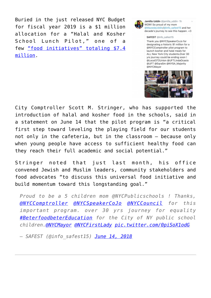Buried in the just released NYC Budget for fiscal year 2019 is a \$1 million allocation for a "Halal and Kosher School Lunch Pilot," one of a few ["food initiatives" totaling \\$7.4](https://council.nyc.gov/budget/wp-content/uploads/sites/54/2018/06/Fiscal-2019-Schedule-C-Final-Report-1.pdf) [million](https://council.nyc.gov/budget/wp-content/uploads/sites/54/2018/06/Fiscal-2019-Schedule-C-Final-Report-1.pdf).



Jamilla Uddin @jamilla\_uddin - 1h WOW! So proud of my mom @MazedaUddin/@info\_safest15 and her decade's journey to see this happen. < 3

SAFEST @info safest15

Thank you @NYCSpeakerCoJo for designating a historic \$1 million for a @NYCComptroller pilot program to launch kosher and halal meals for ALL New York City students.Over 30 yrs journey could be ending soon! @Local372Union @UFTLindaOcasio @UFT @EqraSm @NYSA\_Majority @NYCMayor



City Comptroller Scott M. Stringer, who has supported the introduction of halal and kosher food in the schools, said in a statement on June 14 that the pilot program is "a critical first step toward leveling the playing field for our students not only in the cafeteria, but in the classroom – because only when young people have access to sufficient healthy food can they reach their full academic and social potential."

Stringer noted that just last month, his office convened Jewish and Muslim leaders, community stakeholders and food advocates "to discuss this universal food initiative and build momentum toward this longstanding goal."

*Proud to be a 5 children mom @NYCPublicschools ! Thanks, [@NYCComptroller](https://twitter.com/NYCComptroller?ref_src=twsrc%5Etfw) [@NYCSpeakerCoJo](https://twitter.com/NYCSpeakerCoJo?ref_src=twsrc%5Etfw) [@NYCCouncil](https://twitter.com/NYCCouncil?ref_src=twsrc%5Etfw) for this important program. over 30 yrs journey for equality [#BeterfoodbeterEducation](https://twitter.com/hashtag/BeterfoodbeterEducation?src=hash&ref_src=twsrc%5Etfw) for the City of NY public school children[.@NYCMayor](https://twitter.com/NYCMayor?ref_src=twsrc%5Etfw) [@NYCFirstLady](https://twitter.com/NYCFirstLady?ref_src=twsrc%5Etfw) [pic.twitter.com/0piSoX1odG](https://t.co/0piSoX1odG)*

*— SAFEST (@info\_safest15) [June 14, 2018](https://twitter.com/info_safest15/status/1007119272735399936?ref_src=twsrc%5Etfw)*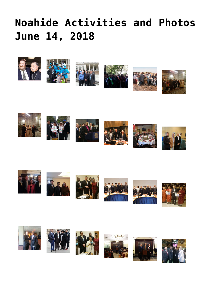# **[Noahide Activities and Photos](http://noahide.org/noahide-activities-and-photos-june-14-2018/) [June 14, 2018](http://noahide.org/noahide-activities-and-photos-june-14-2018/)**